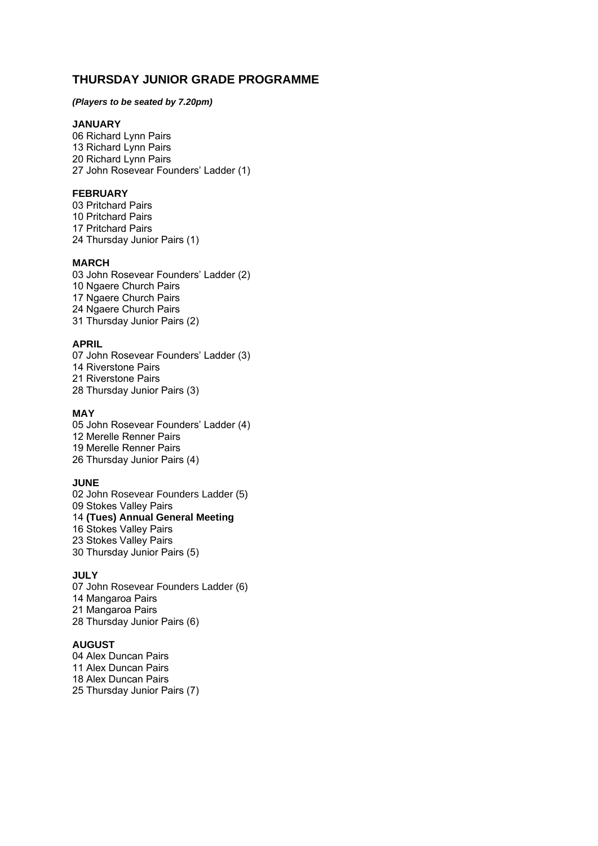# **THURSDAY JUNIOR GRADE PROGRAMME**

### *(Players to be seated by 7.20pm)*

### **JANUARY**

06 Richard Lynn Pairs 13 Richard Lynn Pairs 20 Richard Lynn Pairs 27 John Rosevear Founders' Ladder (1)

### **FEBRUARY**

03 Pritchard Pairs 10 Pritchard Pairs 17 Pritchard Pairs 24 Thursday Junior Pairs (1)

#### **MARCH**

03 John Rosevear Founders' Ladder (2) 10 Ngaere Church Pairs 17 Ngaere Church Pairs 24 Ngaere Church Pairs 31 Thursday Junior Pairs (2)

### **APRIL**

07 John Rosevear Founders' Ladder (3) 14 Riverstone Pairs 21 Riverstone Pairs 28 Thursday Junior Pairs (3)

## **MAY**

05 John Rosevear Founders' Ladder (4) 12 Merelle Renner Pairs 19 Merelle Renner Pairs 26 Thursday Junior Pairs (4)

#### **JUNE**

02 John Rosevear Founders Ladder (5) 09 Stokes Valley Pairs 14 **(Tues) Annual General Meeting** 16 Stokes Valley Pairs 23 Stokes Valley Pairs 30 Thursday Junior Pairs (5)

### **JULY**

07 John Rosevear Founders Ladder (6) 14 Mangaroa Pairs 21 Mangaroa Pairs 28 Thursday Junior Pairs (6)

## **AUGUST**

04 Alex Duncan Pairs 11 Alex Duncan Pairs 18 Alex Duncan Pairs 25 Thursday Junior Pairs (7)